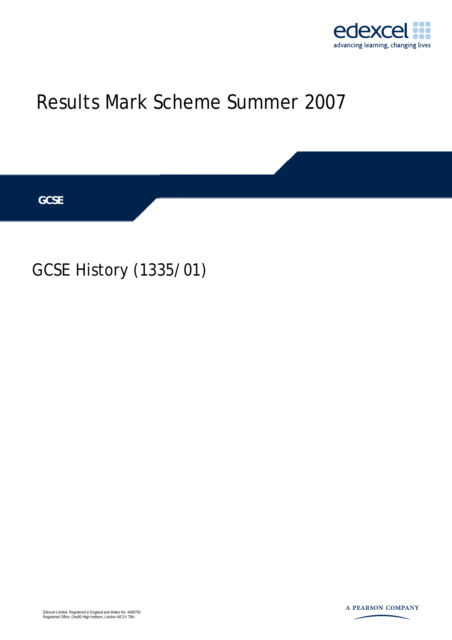

# Results Mark Scheme Summer 2007

**GCSE** 

## GCSE History (1335/01)

Edexcel Limited. Registered in England and Wales No. 4496750 Registered Office: One90 High Holborn, London WC1V 7BH

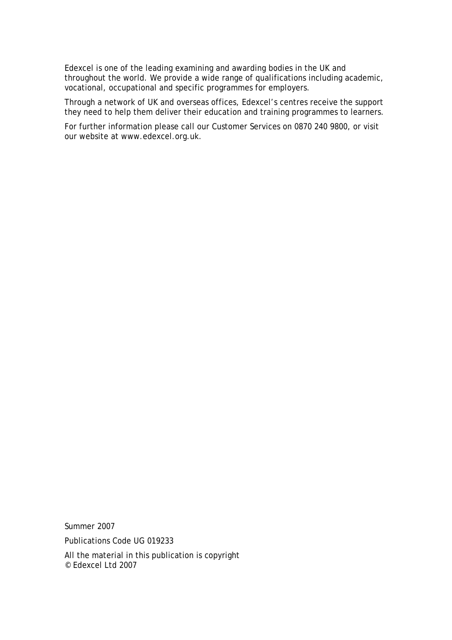Edexcel is one of the leading examining and awarding bodies in the UK and throughout the world. We provide a wide range of qualifications including academic, vocational, occupational and specific programmes for employers.

Through a network of UK and overseas offices, Edexcel's centres receive the support they need to help them deliver their education and training programmes to learners.

For further information please call our Customer Services on 0870 240 9800, or visit our website at www.edexcel.org.uk.

Summer 2007 Publications Code UG 019233 All the material in this publication is copyright © Edexcel Ltd 2007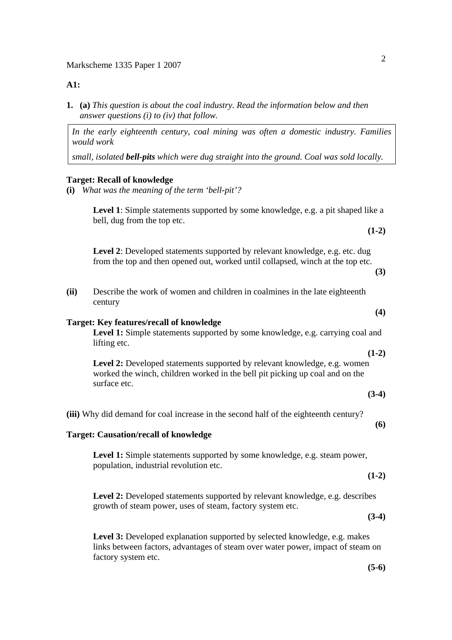#### **A1:**

**1. (a)** *This question is about the coal industry. Read the information below and then answer questions (i) to (iv) that follow.* 

*In the early eighteenth century, coal mining was often a domestic industry. Families would work* 

*small, isolated bell-pits which were dug straight into the ground. Coal was sold locally.* 

#### **Target: Recall of knowledge**

**(i)** *What was the meaning of the term 'bell-pit'?*

**Level 1**: Simple statements supported by some knowledge, e.g. a pit shaped like a bell, dug from the top etc.

**(1-2)** 

**Level 2**: Developed statements supported by relevant knowledge, e.g. etc. dug from the top and then opened out, worked until collapsed, winch at the top etc.

**(3)** 

**(ii)** Describe the work of women and children in coalmines in the late eighteenth century

#### **Target: Key features/recall of knowledge**

Level 1: Simple statements supported by some knowledge, e.g. carrying coal and lifting etc.

Level 2: Developed statements supported by relevant knowledge, e.g. women worked the winch, children worked in the bell pit picking up coal and on the surface etc.

**(iii)** Why did demand for coal increase in the second half of the eighteenth century?

#### **Target: Causation/recall of knowledge**

Level 1: Simple statements supported by some knowledge, e.g. steam power, population, industrial revolution etc.

**Level 2:** Developed statements supported by relevant knowledge, e.g. describes growth of steam power, uses of steam, factory system etc.

 **(3-4)** 

 **(1-2)**

Level 3: Developed explanation supported by selected knowledge, e.g. makes links between factors, advantages of steam over water power, impact of steam on factory system etc.

**(5-6)** 

2

## **(4)**

**(1-2)**

**(3-4)** 

**(6)**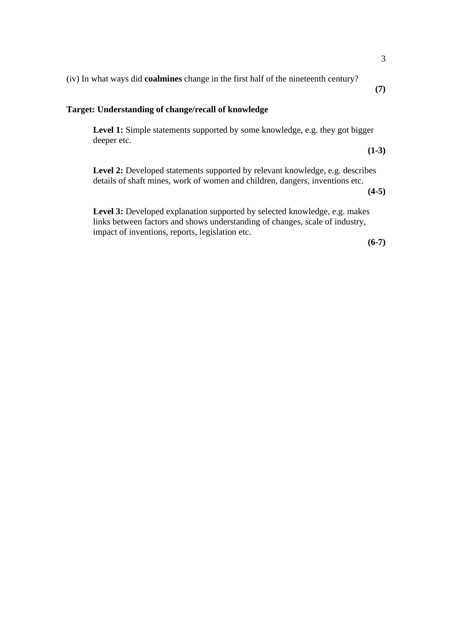(iv) In what ways did **coalmines** change in the first half of the nineteenth century?

**(7)** 

## **Target: Understanding of change/recall of knowledge**

Level 1: Simple statements supported by some knowledge, e.g. they got bigger deeper etc.

 **(1-3)** 

**Level 2:** Developed statements supported by relevant knowledge, e.g. describes details of shaft mines, work of women and children, dangers, inventions etc.

 **(4-5)** 

Level 3: Developed explanation supported by selected knowledge, e.g. makes links between factors and shows understanding of changes, scale of industry, impact of inventions, reports, legislation etc.

 **(6-7)**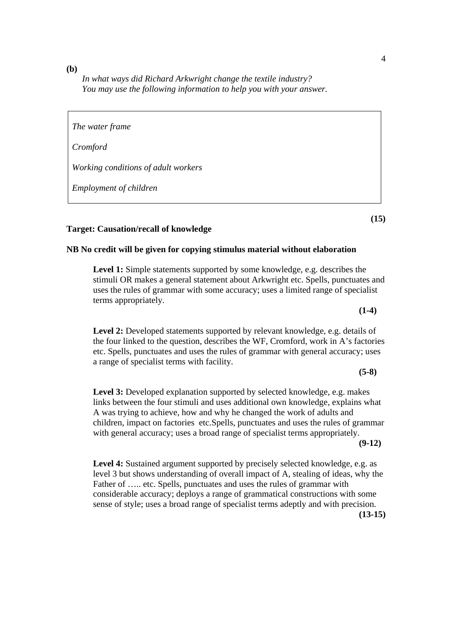**(b)** 

*In what ways did Richard Arkwright change the textile industry? You may use the following information to help you with your answer.* 

| The water frame                     |
|-------------------------------------|
| Cromford                            |
| Working conditions of adult workers |
| <b>Employment of children</b>       |

#### **Target: Causation/recall of knowledge**

#### **NB No credit will be given for copying stimulus material without elaboration**

**Level 1:** Simple statements supported by some knowledge, e.g. describes the stimuli OR makes a general statement about Arkwright etc. Spells, punctuates and uses the rules of grammar with some accuracy; uses a limited range of specialist terms appropriately.

**Level 2:** Developed statements supported by relevant knowledge, e.g. details of the four linked to the question, describes the WF, Cromford, work in A's factories etc. Spells, punctuates and uses the rules of grammar with general accuracy; uses a range of specialist terms with facility.

**(5-8)** 

Level 3: Developed explanation supported by selected knowledge, e.g. makes links between the four stimuli and uses additional own knowledge, explains what A was trying to achieve, how and why he changed the work of adults and children, impact on factories etc.Spells, punctuates and uses the rules of grammar with general accuracy; uses a broad range of specialist terms appropriately. **(9-12)** 

Level 4: Sustained argument supported by precisely selected knowledge, e.g. as level 3 but shows understanding of overall impact of A, stealing of ideas, why the Father of ..... etc. Spells, punctuates and uses the rules of grammar with considerable accuracy; deploys a range of grammatical constructions with some sense of style; uses a broad range of specialist terms adeptly and with precision. **(13-15)** 

4

**(15)** 

**(1-4)**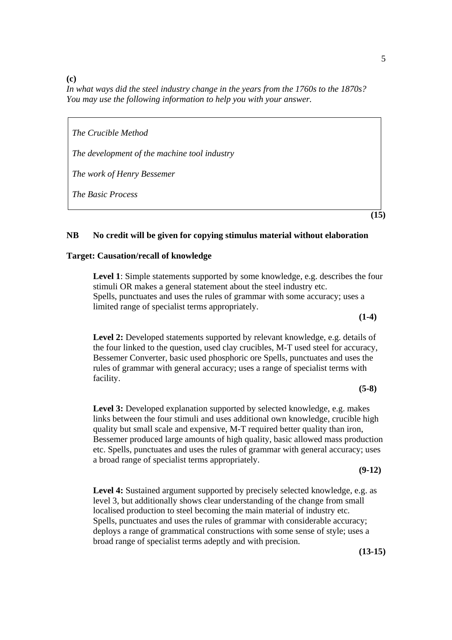**(c)** 

*In what ways did the steel industry change in the years from the 1760s to the 1870s? You may use the following information to help you with your answer.* 

*The Crucible Method The development of the machine tool industry The work of Henry Bessemer* 

**(15)** 

#### **NB No credit will be given for copying stimulus material without elaboration**

#### **Target: Causation/recall of knowledge**

*The Basic Process* 

**Level 1**: Simple statements supported by some knowledge, e.g. describes the four stimuli OR makes a general statement about the steel industry etc. Spells, punctuates and uses the rules of grammar with some accuracy; uses a limited range of specialist terms appropriately.

**(1-4)** 

**Level 2:** Developed statements supported by relevant knowledge, e.g. details of the four linked to the question, used clay crucibles, M-T used steel for accuracy, Bessemer Converter, basic used phosphoric ore Spells, punctuates and uses the rules of grammar with general accuracy; uses a range of specialist terms with facility.

**(5-8)** 

Level 3: Developed explanation supported by selected knowledge, e.g. makes links between the four stimuli and uses additional own knowledge, crucible high quality but small scale and expensive, M-T required better quality than iron, Bessemer produced large amounts of high quality, basic allowed mass production etc. Spells, punctuates and uses the rules of grammar with general accuracy; uses a broad range of specialist terms appropriately.

**(9-12)** 

**Level 4:** Sustained argument supported by precisely selected knowledge, e.g. as level 3, but additionally shows clear understanding of the change from small localised production to steel becoming the main material of industry etc. Spells, punctuates and uses the rules of grammar with considerable accuracy; deploys a range of grammatical constructions with some sense of style; uses a broad range of specialist terms adeptly and with precision.

5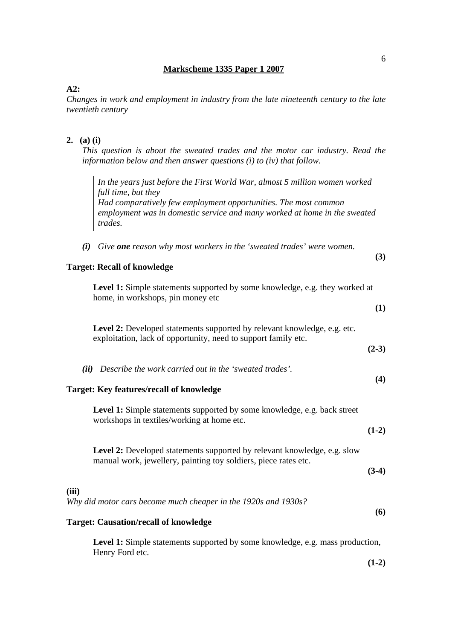#### **Markscheme 1335 Paper 1 2007**

#### **A2:**

*Changes in work and employment in industry from the late nineteenth century to the late twentieth century* 

## **2. (a) (i)**

*This question is about the sweated trades and the motor car industry. Read the information below and then answer questions (i) to (iv) that follow.* 

*In the years just before the First World War, almost 5 million women worked full time, but they Had comparatively few employment opportunities. The most common employment was in domestic service and many worked at home in the sweated trades.* 

*(i) Give one reason why most workers in the 'sweated trades' were women.* 

#### **Target: Recall of knowledge**

Level 1: Simple statements supported by some knowledge, e.g. they worked at home, in workshops, pin money etc

**(1)**

**(3)** 

**Level 2:** Developed statements supported by relevant knowledge, e.g. etc. exploitation, lack of opportunity, need to support family etc.

 $(2-3)$ 

**(4)** 

*(ii) Describe the work carried out in the 'sweated trades'.*

#### **Target: Key features/recall of knowledge**

Level 1: Simple statements supported by some knowledge, e.g. back street workshops in textiles/working at home etc.

**(1-2)**

Level 2: Developed statements supported by relevant knowledge, e.g. slow manual work, jewellery, painting toy soldiers, piece rates etc.

**(3-4)**

**(6)** 

#### **(iii)**

*Why did motor cars become much cheaper in the 1920s and 1930s?* 

#### **Target: Causation/recall of knowledge**

Level 1: Simple statements supported by some knowledge, e.g. mass production, Henry Ford etc.

 $(1-2)$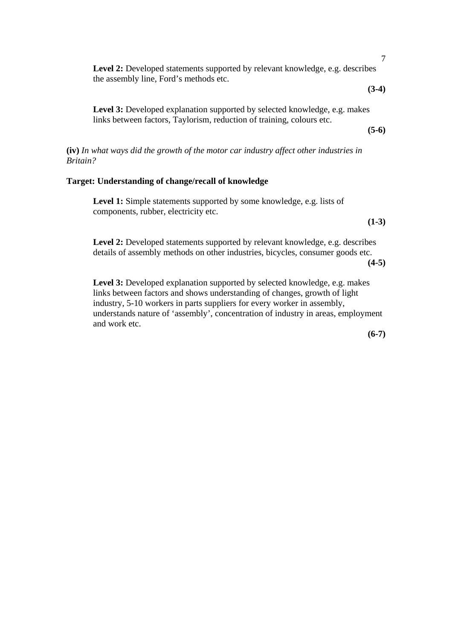**Level 2:** Developed statements supported by relevant knowledge, e.g. describes the assembly line, Ford's methods etc.

**(3-4)** 

Level 3: Developed explanation supported by selected knowledge, e.g. makes links between factors, Taylorism, reduction of training, colours etc.

**(5-6)**

**(iv)** *In what ways did the growth of the motor car industry affect other industries in Britain?*

## **Target: Understanding of change/recall of knowledge**

**Level 1:** Simple statements supported by some knowledge, e.g. lists of components, rubber, electricity etc.

**(1-3)**

**Level 2:** Developed statements supported by relevant knowledge, e.g. describes details of assembly methods on other industries, bicycles, consumer goods etc. **(4-5)** 

Level 3: Developed explanation supported by selected knowledge, e.g. makes links between factors and shows understanding of changes, growth of light industry, 5-10 workers in parts suppliers for every worker in assembly, understands nature of 'assembly', concentration of industry in areas, employment and work etc.

**(6-7)**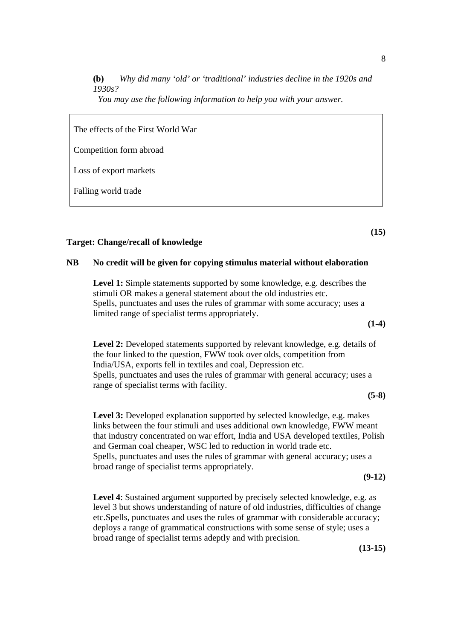**(b)** *Why did many 'old' or 'traditional' industries decline in the 1920s and 1930s? You may use the following information to help you with your answer.* 

The effects of the First World War

Competition form abroad

Loss of export markets

Falling world trade

#### **Target: Change/recall of knowledge**

#### **NB No credit will be given for copying stimulus material without elaboration**

**Level 1:** Simple statements supported by some knowledge, e.g. describes the stimuli OR makes a general statement about the old industries etc. Spells, punctuates and uses the rules of grammar with some accuracy; uses a limited range of specialist terms appropriately.

**(1-4)** 

**(15)** 

**Level 2:** Developed statements supported by relevant knowledge, e.g. details of the four linked to the question, FWW took over olds, competition from India/USA, exports fell in textiles and coal, Depression etc. Spells, punctuates and uses the rules of grammar with general accuracy; uses a range of specialist terms with facility.

**(5-8)** 

**Level 3:** Developed explanation supported by selected knowledge, e.g. makes links between the four stimuli and uses additional own knowledge, FWW meant that industry concentrated on war effort, India and USA developed textiles, Polish and German coal cheaper, WSC led to reduction in world trade etc. Spells, punctuates and uses the rules of grammar with general accuracy; uses a broad range of specialist terms appropriately.

**(9-12)** 

**Level 4**: Sustained argument supported by precisely selected knowledge, e.g. as level 3 but shows understanding of nature of old industries, difficulties of change etc.Spells, punctuates and uses the rules of grammar with considerable accuracy; deploys a range of grammatical constructions with some sense of style; uses a broad range of specialist terms adeptly and with precision.

8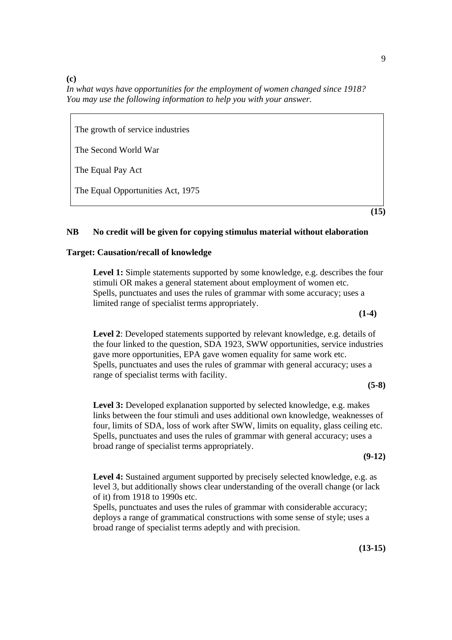**(c)** 

*In what ways have opportunities for the employment of women changed since 1918? You may use the following information to help you with your answer.* 

The growth of service industries

The Second World War

The Equal Pay Act

The Equal Opportunities Act, 1975

**(15)** 

#### **NB No credit will be given for copying stimulus material without elaboration**

#### **Target: Causation/recall of knowledge**

**Level 1:** Simple statements supported by some knowledge, e.g. describes the four stimuli OR makes a general statement about employment of women etc. Spells, punctuates and uses the rules of grammar with some accuracy; uses a limited range of specialist terms appropriately.

**(1-4)** 

**Level 2**: Developed statements supported by relevant knowledge, e.g. details of the four linked to the question, SDA 1923, SWW opportunities, service industries gave more opportunities, EPA gave women equality for same work etc. Spells, punctuates and uses the rules of grammar with general accuracy; uses a range of specialist terms with facility.

**(5-8)** 

Level 3: Developed explanation supported by selected knowledge, e.g. makes links between the four stimuli and uses additional own knowledge, weaknesses of four, limits of SDA, loss of work after SWW, limits on equality, glass ceiling etc. Spells, punctuates and uses the rules of grammar with general accuracy; uses a broad range of specialist terms appropriately.

**(9-12)** 

**Level 4:** Sustained argument supported by precisely selected knowledge, e.g. as level 3, but additionally shows clear understanding of the overall change (or lack of it) from 1918 to 1990s etc.

Spells, punctuates and uses the rules of grammar with considerable accuracy; deploys a range of grammatical constructions with some sense of style; uses a broad range of specialist terms adeptly and with precision.

9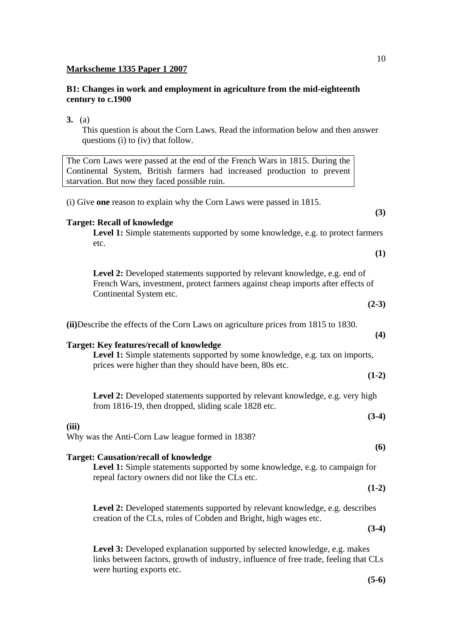#### **B1: Changes in work and employment in agriculture from the mid-eighteenth century to c.1900**

**3.** (a)

This question is about the Corn Laws. Read the information below and then answer questions (i) to (iv) that follow.

The Corn Laws were passed at the end of the French Wars in 1815. During the Continental System, British farmers had increased production to prevent starvation. But now they faced possible ruin.

(i) Give **one** reason to explain why the Corn Laws were passed in 1815.

#### **Target: Recall of knowledge**

Level 1: Simple statements supported by some knowledge, e.g. to protect farmers etc.

Level 2: Developed statements supported by relevant knowledge, e.g. end of French Wars, investment, protect farmers against cheap imports after effects of Continental System etc.

 $(2-3)$ 

**(ii)**Describe the effects of the Corn Laws on agriculture prices from 1815 to 1830.

#### **Target: Key features/recall of knowledge**

Level 1: Simple statements supported by some knowledge, e.g. tax on imports, prices were higher than they should have been, 80s etc.

**Level 2:** Developed statements supported by relevant knowledge, e.g. very high from 1816-19, then dropped, sliding scale 1828 etc.

## **(iii)**

Why was the Anti-Corn Law league formed in 1838?

#### **Target: Causation/recall of knowledge**

**Level 1:** Simple statements supported by some knowledge, e.g. to campaign for repeal factory owners did not like the CLs etc.

**(1-2)** 

**Level 2:** Developed statements supported by relevant knowledge, e.g. describes creation of the CLs, roles of Cobden and Bright, high wages etc.

**(3-4)**

Level 3: Developed explanation supported by selected knowledge, e.g. makes links between factors, growth of industry, influence of free trade, feeling that CLs were hurting exports etc.

 **(5-6)**

**(3)** 

**(1)**

**(4)** 

 $(1-2)$ 

 **(3-4)** 

**(6)**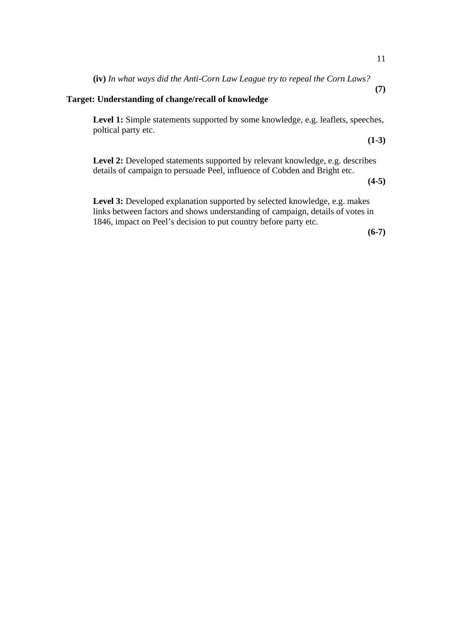**(iv)** *In what ways did the Anti-Corn Law League try to repeal the Corn Laws?* 

**(7)** 

## **Target: Understanding of change/recall of knowledge**

Level 1: Simple statements supported by some knowledge, e.g. leaflets, speeches, poltical party etc.

**(1-3)**

**Level 2:** Developed statements supported by relevant knowledge, e.g. describes details of campaign to persuade Peel, influence of Cobden and Bright etc.

**(4-5)** 

Level 3: Developed explanation supported by selected knowledge, e.g. makes links between factors and shows understanding of campaign, details of votes in 1846, impact on Peel's decision to put country before party etc.

**(6-7)**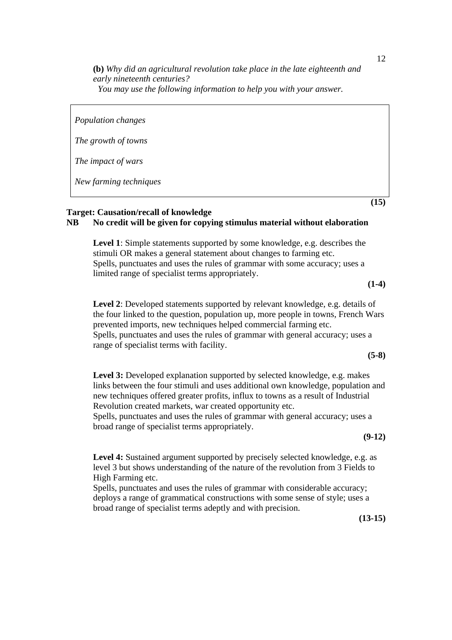**(b)** *Why did an agricultural revolution take place in the late eighteenth and early nineteenth centuries? You may use the following information to help you with your answer.* 

*Population changes* 

*The growth of towns* 

*The impact of wars* 

*New farming techniques* 

#### **Target: Causation/recall of knowledge**

## **NB No credit will be given for copying stimulus material without elaboration**

**Level 1**: Simple statements supported by some knowledge, e.g. describes the stimuli OR makes a general statement about changes to farming etc. Spells, punctuates and uses the rules of grammar with some accuracy; uses a limited range of specialist terms appropriately.

**(1-4)** 

**(15)** 

**Level 2**: Developed statements supported by relevant knowledge, e.g. details of the four linked to the question, population up, more people in towns, French Wars prevented imports, new techniques helped commercial farming etc. Spells, punctuates and uses the rules of grammar with general accuracy; uses a range of specialist terms with facility.

**(5-8)** 

Level 3: Developed explanation supported by selected knowledge, e.g. makes links between the four stimuli and uses additional own knowledge, population and new techniques offered greater profits, influx to towns as a result of Industrial Revolution created markets, war created opportunity etc.

Spells, punctuates and uses the rules of grammar with general accuracy; uses a broad range of specialist terms appropriately.

 **(9-12)** 

**Level 4:** Sustained argument supported by precisely selected knowledge, e.g. as level 3 but shows understanding of the nature of the revolution from 3 Fields to High Farming etc.

Spells, punctuates and uses the rules of grammar with considerable accuracy; deploys a range of grammatical constructions with some sense of style; uses a broad range of specialist terms adeptly and with precision.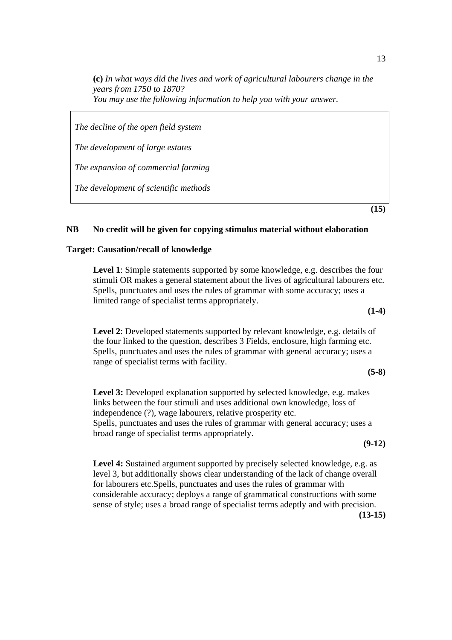**(c)** *In what ways did the lives and work of agricultural labourers change in the years from 1750 to 1870? You may use the following information to help you with your answer.* 

*The decline of the open field system* 

*The development of large estates* 

*The expansion of commercial farming* 

*The development of scientific methods* 

**(15)** 

## **NB No credit will be given for copying stimulus material without elaboration**

#### **Target: Causation/recall of knowledge**

**Level 1**: Simple statements supported by some knowledge, e.g. describes the four stimuli OR makes a general statement about the lives of agricultural labourers etc. Spells, punctuates and uses the rules of grammar with some accuracy; uses a limited range of specialist terms appropriately.

**(1-4)** 

**Level 2**: Developed statements supported by relevant knowledge, e.g. details of the four linked to the question, describes 3 Fields, enclosure, high farming etc. Spells, punctuates and uses the rules of grammar with general accuracy; uses a range of specialist terms with facility.

**(5-8)** 

Level 3: Developed explanation supported by selected knowledge, e.g. makes links between the four stimuli and uses additional own knowledge, loss of independence (?), wage labourers, relative prosperity etc. Spells, punctuates and uses the rules of grammar with general accuracy; uses a broad range of specialist terms appropriately.

**(9-12)** 

**Level 4:** Sustained argument supported by precisely selected knowledge, e.g. as level 3, but additionally shows clear understanding of the lack of change overall for labourers etc.Spells, punctuates and uses the rules of grammar with considerable accuracy; deploys a range of grammatical constructions with some sense of style; uses a broad range of specialist terms adeptly and with precision. **(13-15)**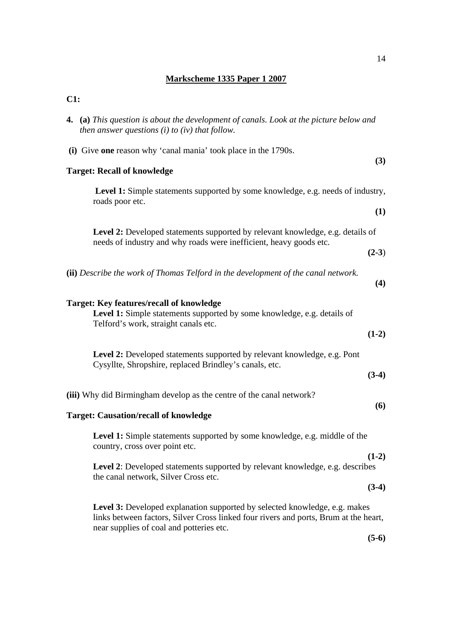**(5-6)** 

## **Markscheme 1335 Paper 1 2007**

|           | ×<br>۰. |
|-----------|---------|
| ×<br>۱    |         |
| . .<br>۰. | $\sim$  |

| <b>4.</b> (a) This question is about the development of canals. Look at the picture below and<br>then answer questions $(i)$ to $(iv)$ that follow.                                                            |
|----------------------------------------------------------------------------------------------------------------------------------------------------------------------------------------------------------------|
| (i) Give one reason why 'canal mania' took place in the 1790s.<br>(3)                                                                                                                                          |
| <b>Target: Recall of knowledge</b>                                                                                                                                                                             |
| <b>Level 1:</b> Simple statements supported by some knowledge, e.g. needs of industry,<br>roads poor etc.                                                                                                      |
| (1)                                                                                                                                                                                                            |
| Level 2: Developed statements supported by relevant knowledge, e.g. details of<br>needs of industry and why roads were inefficient, heavy goods etc.                                                           |
| $(2-3)$                                                                                                                                                                                                        |
| (ii) Describe the work of Thomas Telford in the development of the canal network.<br>(4)                                                                                                                       |
| <b>Target: Key features/recall of knowledge</b><br><b>Level 1:</b> Simple statements supported by some knowledge, e.g. details of<br>Telford's work, straight canals etc.<br>$(1-2)$                           |
| Level 2: Developed statements supported by relevant knowledge, e.g. Pont<br>Cysyllte, Shropshire, replaced Brindley's canals, etc.<br>$(3-4)$                                                                  |
| (iii) Why did Birmingham develop as the centre of the canal network?<br>(6)                                                                                                                                    |
| <b>Target: Causation/recall of knowledge</b>                                                                                                                                                                   |
| <b>Level 1:</b> Simple statements supported by some knowledge, e.g. middle of the<br>country, cross over point etc.                                                                                            |
| $(1-2)$<br>Level 2: Developed statements supported by relevant knowledge, e.g. describes<br>the canal network, Silver Cross etc.                                                                               |
| $(3-4)$                                                                                                                                                                                                        |
| Level 3: Developed explanation supported by selected knowledge, e.g. makes<br>links between factors, Silver Cross linked four rivers and ports, Brum at the heart,<br>near supplies of coal and potteries etc. |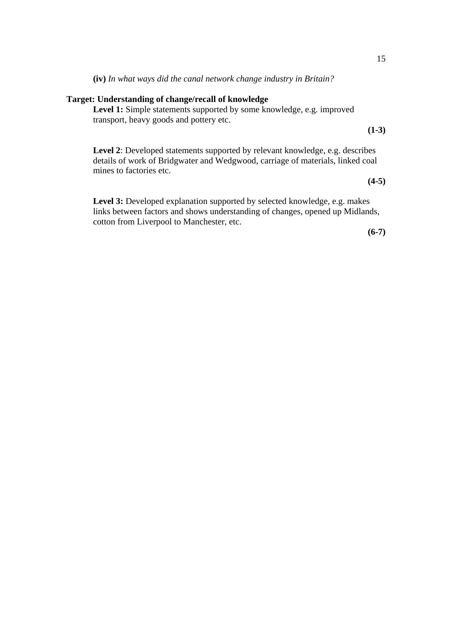**(iv)** *In what ways did the canal network change industry in Britain?* 

#### **Target: Understanding of change/recall of knowledge**

Level 1: Simple statements supported by some knowledge, e.g. improved transport, heavy goods and pottery etc.

**Level 2**: Developed statements supported by relevant knowledge, e.g. describes details of work of Bridgwater and Wedgwood, carriage of materials, linked coal mines to factories etc.

**(4-5)** 

**(1-3)** 

**Level 3:** Developed explanation supported by selected knowledge, e.g. makes links between factors and shows understanding of changes, opened up Midlands, cotton from Liverpool to Manchester, etc.

 **(6-7)**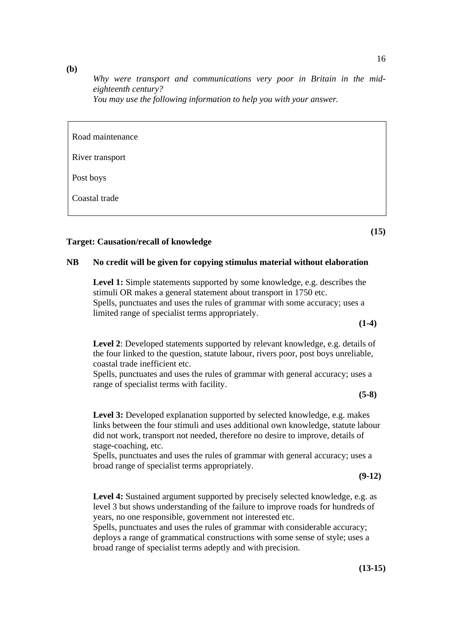**(b)** 

*Why were transport and communications very poor in Britain in the mideighteenth century?*

*You may use the following information to help you with your answer.* 

| Road maintenance |
|------------------|
| River transport  |
| Post boys        |
| Coastal trade    |

#### **Target: Causation/recall of knowledge**

## **NB No credit will be given for copying stimulus material without elaboration**

**Level 1:** Simple statements supported by some knowledge, e.g. describes the stimuli OR makes a general statement about transport in 1750 etc. Spells, punctuates and uses the rules of grammar with some accuracy; uses a limited range of specialist terms appropriately. **(1-4)** 

**Level 2**: Developed statements supported by relevant knowledge, e.g. details of the four linked to the question, statute labour, rivers poor, post boys unreliable, coastal trade inefficient etc.

Spells, punctuates and uses the rules of grammar with general accuracy; uses a range of specialist terms with facility.

**(5-8)** 

Level 3: Developed explanation supported by selected knowledge, e.g. makes links between the four stimuli and uses additional own knowledge, statute labour did not work, transport not needed, therefore no desire to improve, details of stage-coaching, etc.

Spells, punctuates and uses the rules of grammar with general accuracy; uses a broad range of specialist terms appropriately.

**(9-12)** 

Level 4: Sustained argument supported by precisely selected knowledge, e.g. as level 3 but shows understanding of the failure to improve roads for hundreds of years, no one responsible, government not interested etc.

Spells, punctuates and uses the rules of grammar with considerable accuracy; deploys a range of grammatical constructions with some sense of style; uses a broad range of specialist terms adeptly and with precision.

**(15)**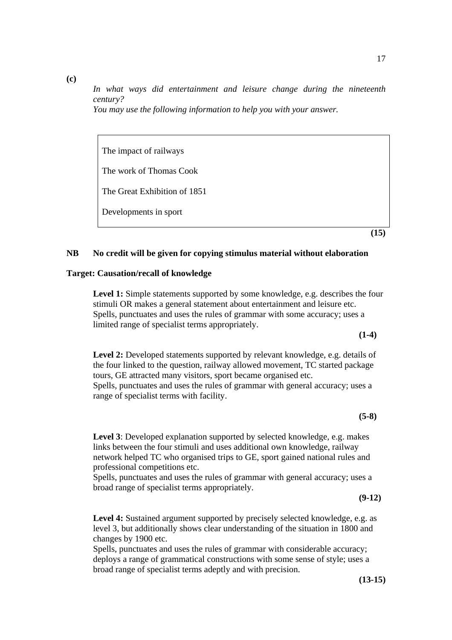*In what ways did entertainment and leisure change during the nineteenth century? You may use the following information to help you with your answer.* 

The impact of railways

The work of Thomas Cook

The Great Exhibition of 1851

Developments in sport

**(15)** 

## **NB No credit will be given for copying stimulus material without elaboration**

#### **Target: Causation/recall of knowledge**

Level 1: Simple statements supported by some knowledge, e.g. describes the four stimuli OR makes a general statement about entertainment and leisure etc. Spells, punctuates and uses the rules of grammar with some accuracy; uses a limited range of specialist terms appropriately.

**(1-4)** 

**Level 2:** Developed statements supported by relevant knowledge, e.g. details of the four linked to the question, railway allowed movement, TC started package tours, GE attracted many visitors, sport became organised etc. Spells, punctuates and uses the rules of grammar with general accuracy; uses a

range of specialist terms with facility.

**(5-8)** 

**Level 3**: Developed explanation supported by selected knowledge, e.g. makes links between the four stimuli and uses additional own knowledge, railway network helped TC who organised trips to GE, sport gained national rules and professional competitions etc.

Spells, punctuates and uses the rules of grammar with general accuracy; uses a broad range of specialist terms appropriately.

**(9-12)** 

**Level 4:** Sustained argument supported by precisely selected knowledge, e.g. as level 3, but additionally shows clear understanding of the situation in 1800 and changes by 1900 etc.

Spells, punctuates and uses the rules of grammar with considerable accuracy; deploys a range of grammatical constructions with some sense of style; uses a broad range of specialist terms adeptly and with precision.

**(13-15)** 

**(c)**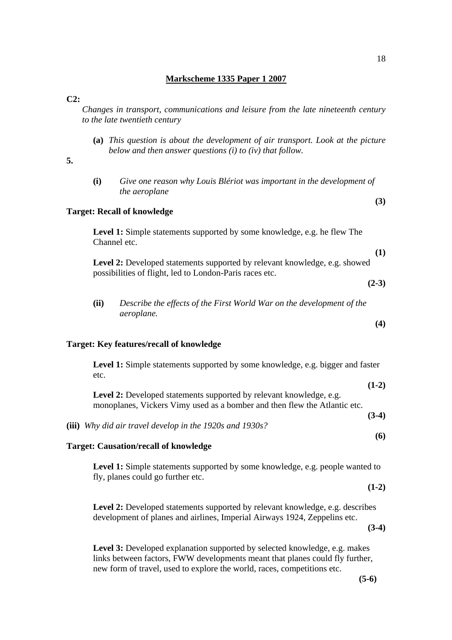## **Markscheme 1335 Paper 1 2007**

## **C2:**

*Changes in transport, communications and leisure from the late nineteenth century to the late twentieth century* 

**(a)** *This question is about the development of air transport. Look at the picture below and then answer questions (i) to (iv) that follow.*

#### **5.**

**(i)** *Give one reason why Louis Blériot was important in the development of the aeroplane* 

#### **Target: Recall of knowledge**

**Level 1:** Simple statements supported by some knowledge, e.g. he flew The Channel etc.

 **(1) Level 2:** Developed statements supported by relevant knowledge, e.g. showed possibilities of flight, led to London-Paris races etc.

 **(2-3)** 

**(3)** 

**(ii)** *Describe the effects of the First World War on the development of the aeroplane.* 

## **Target: Key features/recall of knowledge**

Level 1: Simple statements supported by some knowledge, e.g. bigger and faster etc.  $(1, 2)$ 

|                                                                            | (1-4)   |  |
|----------------------------------------------------------------------------|---------|--|
| <b>Level 2:</b> Developed statements supported by relevant knowledge, e.g. |         |  |
| monoplanes, Vickers Vimy used as a bomber and then flew the Atlantic etc.  |         |  |
|                                                                            | $(3-4)$ |  |

**(iii)** *Why did air travel develop in the 1920s and 1930s?*

## **Target: Causation/recall of knowledge**

Level 1: Simple statements supported by some knowledge, e.g. people wanted to fly, planes could go further etc.

**(1-2)**

**(6)** 

**Level 2:** Developed statements supported by relevant knowledge, e.g. describes development of planes and airlines, Imperial Airways 1924, Zeppelins etc.

**(3-4)** 

Level 3: Developed explanation supported by selected knowledge, e.g. makes links between factors, FWW developments meant that planes could fly further, new form of travel, used to explore the world, races, competitions etc.

**(4)**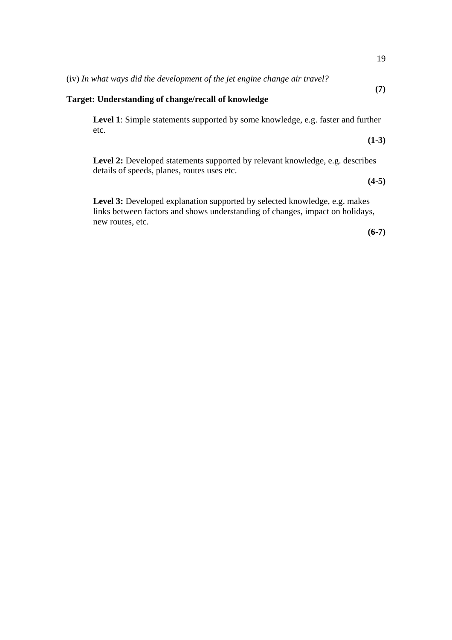| (iv) In what ways did the development of the jet engine change air travel?                                                                                         |
|--------------------------------------------------------------------------------------------------------------------------------------------------------------------|
| (7)<br>Target: Understanding of change/recall of knowledge                                                                                                         |
| <b>Level 1:</b> Simple statements supported by some knowledge, e.g. faster and further<br>etc.                                                                     |
| $(1-3)$                                                                                                                                                            |
| <b>Level 2:</b> Developed statements supported by relevant knowledge, e.g. describes<br>details of speeds, planes, routes uses etc.                                |
| $(4-5)$                                                                                                                                                            |
| <b>Level 3:</b> Developed explanation supported by selected knowledge, e.g. makes<br>links between factors and shows understanding of changes, impact on holidays, |

ling of changes, impact on holiday new routes, etc.

 **(6-7)**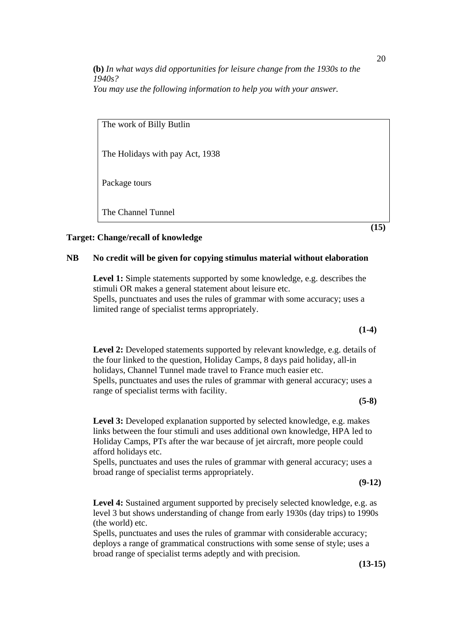The work of Billy Butlin The Holidays with pay Act, 1938

Package tours

The Channel Tunnel

## **Target: Change/recall of knowledge**

#### **NB No credit will be given for copying stimulus material without elaboration**

**Level 1:** Simple statements supported by some knowledge, e.g. describes the stimuli OR makes a general statement about leisure etc. Spells, punctuates and uses the rules of grammar with some accuracy; uses a limited range of specialist terms appropriately.

**(1-4)** 

**Level 2:** Developed statements supported by relevant knowledge, e.g. details of the four linked to the question, Holiday Camps, 8 days paid holiday, all-in holidays, Channel Tunnel made travel to France much easier etc. Spells, punctuates and uses the rules of grammar with general accuracy; uses a range of specialist terms with facility. **(5-8)** 

Level 3: Developed explanation supported by selected knowledge, e.g. makes links between the four stimuli and uses additional own knowledge, HPA led to Holiday Camps, PTs after the war because of jet aircraft, more people could afford holidays etc.

Spells, punctuates and uses the rules of grammar with general accuracy; uses a broad range of specialist terms appropriately.

**(9-12)** 

**Level 4:** Sustained argument supported by precisely selected knowledge, e.g. as level 3 but shows understanding of change from early 1930s (day trips) to 1990s (the world) etc.

Spells, punctuates and uses the rules of grammar with considerable accuracy; deploys a range of grammatical constructions with some sense of style; uses a broad range of specialist terms adeptly and with precision.

**(13-15)** 

**(15)**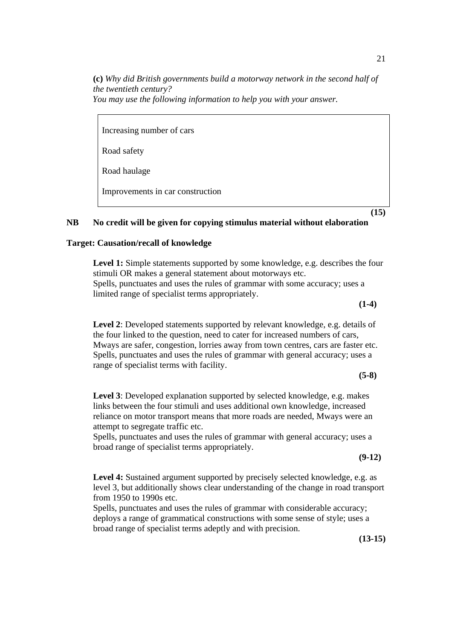**(c)** *Why did British governments build a motorway network in the second half of the twentieth century? You may use the following information to help you with your answer.* 

Increasing number of cars Road safety

Road haulage

Improvements in car construction

**(15)** 

## **NB No credit will be given for copying stimulus material without elaboration**

#### **Target: Causation/recall of knowledge**

Level 1: Simple statements supported by some knowledge, e.g. describes the four stimuli OR makes a general statement about motorways etc. Spells, punctuates and uses the rules of grammar with some accuracy; uses a limited range of specialist terms appropriately.

**(1-4)** 

**Level 2**: Developed statements supported by relevant knowledge, e.g. details of the four linked to the question, need to cater for increased numbers of cars, Mways are safer, congestion, lorries away from town centres, cars are faster etc. Spells, punctuates and uses the rules of grammar with general accuracy; uses a range of specialist terms with facility.

**(5-8)** 

**Level 3**: Developed explanation supported by selected knowledge, e.g. makes links between the four stimuli and uses additional own knowledge, increased reliance on motor transport means that more roads are needed, Mways were an attempt to segregate traffic etc.

Spells, punctuates and uses the rules of grammar with general accuracy; uses a broad range of specialist terms appropriately.

**(9-12)** 

**Level 4:** Sustained argument supported by precisely selected knowledge, e.g. as level 3, but additionally shows clear understanding of the change in road transport from 1950 to 1990s etc.

Spells, punctuates and uses the rules of grammar with considerable accuracy; deploys a range of grammatical constructions with some sense of style; uses a broad range of specialist terms adeptly and with precision.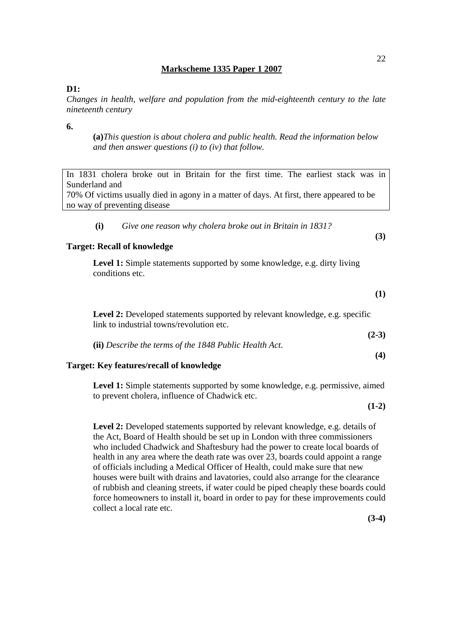#### **D1:**

*Changes in health, welfare and population from the mid-eighteenth century to the late nineteenth century* 

**6.**

**(a)***This question is about cholera and public health. Read the information below and then answer questions (i) to (iv) that follow.* 

In 1831 cholera broke out in Britain for the first time. The earliest stack was in Sunderland and

70% Of victims usually died in agony in a matter of days. At first, there appeared to be no way of preventing disease

| (i) | Give one reason why cholera broke out in Britain in 1831? |  |  |  |
|-----|-----------------------------------------------------------|--|--|--|
|     |                                                           |  |  |  |

## **(3)**

## **Target: Recall of knowledge**

Level 1: Simple statements supported by some knowledge, e.g. dirty living conditions etc.

**(1)** 

**(4)** 

**Level 2:** Developed statements supported by relevant knowledge, e.g. specific link to industrial towns/revolution etc.

 $(2-3)$ **(ii)** *Describe the terms of the 1848 Public Health Act.*

#### **Target: Key features/recall of knowledge**

Level 1: Simple statements supported by some knowledge, e.g. permissive, aimed to prevent cholera, influence of Chadwick etc.

**(1-2)**

**Level 2:** Developed statements supported by relevant knowledge, e.g. details of the Act, Board of Health should be set up in London with three commissioners who included Chadwick and Shaftesbury had the power to create local boards of health in any area where the death rate was over 23, boards could appoint a range of officials including a Medical Officer of Health, could make sure that new houses were built with drains and lavatories, could also arrange for the clearance of rubbish and cleaning streets, if water could be piped cheaply these boards could force homeowners to install it, board in order to pay for these improvements could collect a local rate etc.

 **(3-4)**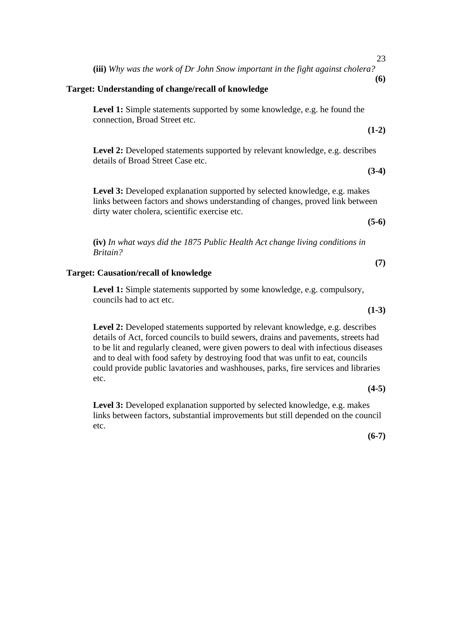**(6)** 

**(iii)** *Why was the work of Dr John Snow important in the fight against cholera?*

#### **Target: Understanding of change/recall of knowledge**

Level 1: Simple statements supported by some knowledge, e.g. he found the connection, Broad Street etc.

**Level 2:** Developed statements supported by relevant knowledge, e.g. describes details of Broad Street Case etc.

Level 3: Developed explanation supported by selected knowledge, e.g. makes links between factors and shows understanding of changes, proved link between dirty water cholera, scientific exercise etc.

**(iv)** *In what ways did the 1875 Public Health Act change living conditions in Britain?* 

#### **Target: Causation/recall of knowledge**

Level 1: Simple statements supported by some knowledge, e.g. compulsory, councils had to act etc.

**Level 2:** Developed statements supported by relevant knowledge, e.g. describes details of Act, forced councils to build sewers, drains and pavements, streets had to be lit and regularly cleaned, were given powers to deal with infectious diseases and to deal with food safety by destroying food that was unfit to eat, councils could provide public lavatories and washhouses, parks, fire services and libraries etc.

Level 3: Developed explanation supported by selected knowledge, e.g. makes links between factors, substantial improvements but still depended on the council etc.

**(6-7)**

 **(1-2)** 

 **(3-4)** 

**(7)** 

**(5-6)** 

 **(4-5)**

**(1-3)**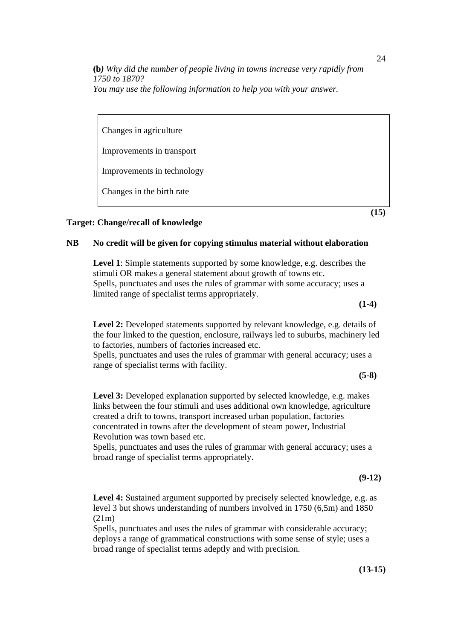**(b***) Why did the number of people living in towns increase very rapidly from 1750 to 1870? You may use the following information to help you with your answer.* 

Changes in agriculture Improvements in transport Improvements in technology Changes in the birth rate

#### **Target: Change/recall of knowledge**

#### **NB No credit will be given for copying stimulus material without elaboration**

**Level 1**: Simple statements supported by some knowledge, e.g. describes the stimuli OR makes a general statement about growth of towns etc. Spells, punctuates and uses the rules of grammar with some accuracy; uses a limited range of specialist terms appropriately.

**(1-4)** 

**Level 2:** Developed statements supported by relevant knowledge, e.g. details of the four linked to the question, enclosure, railways led to suburbs, machinery led to factories, numbers of factories increased etc.

Spells, punctuates and uses the rules of grammar with general accuracy; uses a range of specialist terms with facility.

**(5-8)** 

Level 3: Developed explanation supported by selected knowledge, e.g. makes links between the four stimuli and uses additional own knowledge, agriculture created a drift to towns, transport increased urban population, factories concentrated in towns after the development of steam power, Industrial Revolution was town based etc.

Spells, punctuates and uses the rules of grammar with general accuracy; uses a broad range of specialist terms appropriately.

**(9-12)** 

**Level 4:** Sustained argument supported by precisely selected knowledge, e.g. as level 3 but shows understanding of numbers involved in 1750 (6,5m) and 1850 (21m)

Spells, punctuates and uses the rules of grammar with considerable accuracy; deploys a range of grammatical constructions with some sense of style; uses a broad range of specialist terms adeptly and with precision.

**(13-15)** 

**(15)**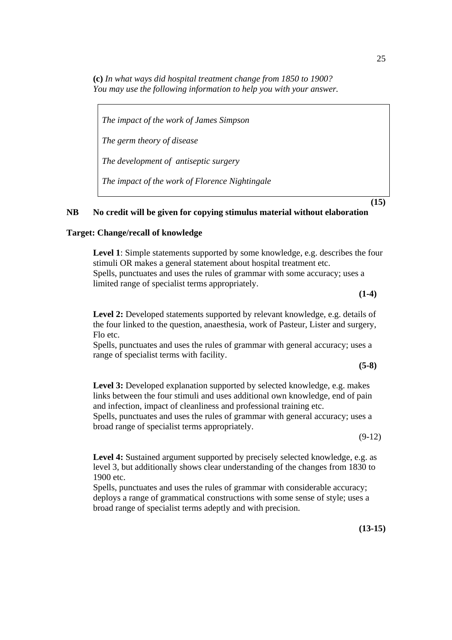**(c)** *In what ways did hospital treatment change from 1850 to 1900? You may use the following information to help you with your answer.* 

*The impact of the work of James Simpson* 

*The germ theory of disease* 

*The development of antiseptic surgery* 

*The impact of the work of Florence Nightingale* 

**(15)** 

#### **NB No credit will be given for copying stimulus material without elaboration**

#### **Target: Change/recall of knowledge**

**Level 1**: Simple statements supported by some knowledge, e.g. describes the four stimuli OR makes a general statement about hospital treatment etc. Spells, punctuates and uses the rules of grammar with some accuracy; uses a limited range of specialist terms appropriately.

**(1-4)** 

**Level 2:** Developed statements supported by relevant knowledge, e.g. details of the four linked to the question, anaesthesia, work of Pasteur, Lister and surgery, Flo etc.

Spells, punctuates and uses the rules of grammar with general accuracy; uses a range of specialist terms with facility.

**(5-8)** 

Level 3: Developed explanation supported by selected knowledge, e.g. makes links between the four stimuli and uses additional own knowledge, end of pain and infection, impact of cleanliness and professional training etc.

Spells, punctuates and uses the rules of grammar with general accuracy; uses a broad range of specialist terms appropriately.

 $(9-12)$ 

Level 4: Sustained argument supported by precisely selected knowledge, e.g. as level 3, but additionally shows clear understanding of the changes from 1830 to 1900 etc.

Spells, punctuates and uses the rules of grammar with considerable accuracy; deploys a range of grammatical constructions with some sense of style; uses a broad range of specialist terms adeptly and with precision.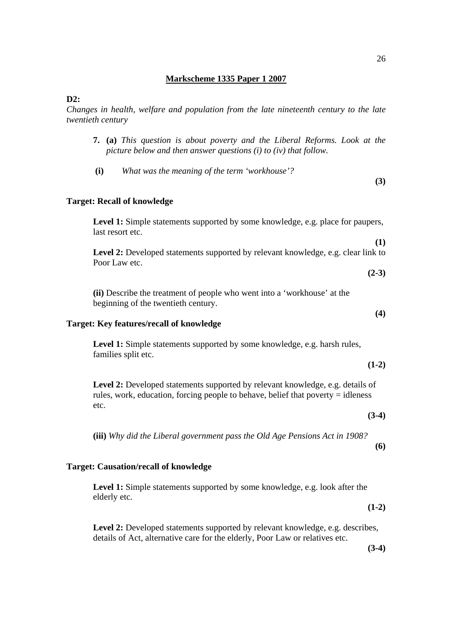**(3)** 

 **(1)** 

 $(2-3)$ 

**(4)** 

#### **Markscheme 1335 Paper 1 2007**

#### $D2:$

*Changes in health, welfare and population from the late nineteenth century to the late twentieth century* 

- **7. (a)** *This question is about poverty and the Liberal Reforms. Look at the picture below and then answer questions (i) to (iv) that follow.*
- **(i)** *What was the meaning of the term 'workhouse'?*

#### **Target: Recall of knowledge**

Level 1: Simple statements supported by some knowledge, e.g. place for paupers, last resort etc.

**Level 2:** Developed statements supported by relevant knowledge, e.g. clear link to Poor Law etc.

**(ii)** Describe the treatment of people who went into a 'workhouse' at the beginning of the twentieth century.

#### **Target: Key features/recall of knowledge**

Level 1: Simple statements supported by some knowledge, e.g. harsh rules, families split etc.

**Level 2:** Developed statements supported by relevant knowledge, e.g. details of rules, work, education, forcing people to behave, belief that poverty = idleness etc.

 **(3-4)** 

 $(1-2)$ 

**(iii)** *Why did the Liberal government pass the Old Age Pensions Act in 1908?*

**(6)** 

#### **Target: Causation/recall of knowledge**

**Level 1:** Simple statements supported by some knowledge, e.g. look after the elderly etc.

**(1-2)** 

Level 2: Developed statements supported by relevant knowledge, e.g. describes, details of Act, alternative care for the elderly, Poor Law or relatives etc.

**(3-4)**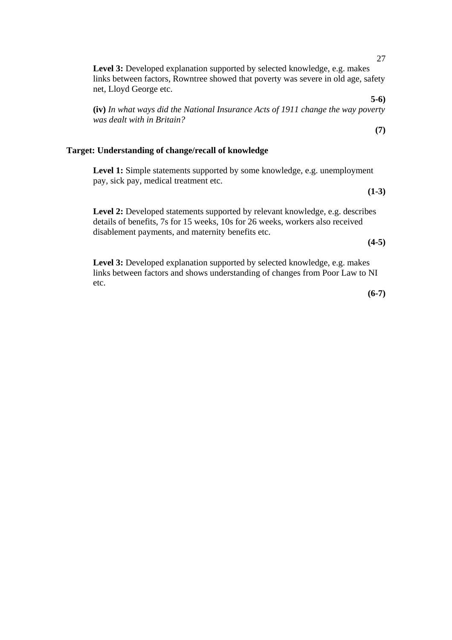**5-6)**

**(7)**

**(iv)** *In what ways did the National Insurance Acts of 1911 change the way poverty was dealt with in Britain?* 

**Level 3:** Developed explanation supported by selected knowledge, e.g. makes links between factors, Rowntree showed that poverty was severe in old age, safety

#### **Target: Understanding of change/recall of knowledge**

net, Lloyd George etc.

Level 1: Simple statements supported by some knowledge, e.g. unemployment pay, sick pay, medical treatment etc.

**(1-3)** 

**Level 2:** Developed statements supported by relevant knowledge, e.g. describes details of benefits, 7s for 15 weeks, 10s for 26 weeks, workers also received disablement payments, and maternity benefits etc.

**(4-5)** 

Level 3: Developed explanation supported by selected knowledge, e.g. makes links between factors and shows understanding of changes from Poor Law to NI etc.

**(6-7)**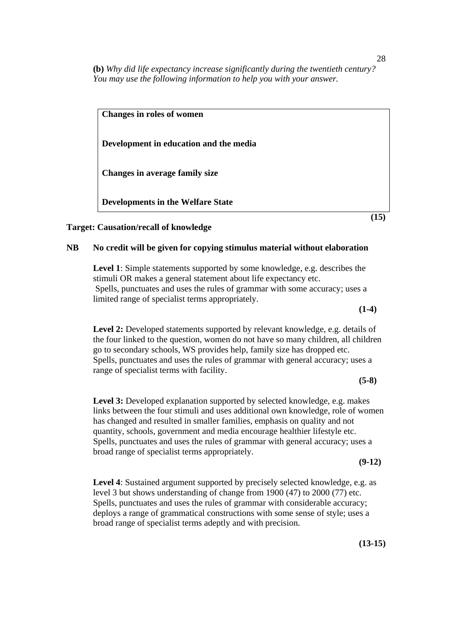**(b)** *Why did life expectancy increase significantly during the twentieth century? You may use the following information to help you with your answer.* 

| <b>Changes in roles of women</b>         |
|------------------------------------------|
| Development in education and the media   |
| Changes in average family size           |
| <b>Developments in the Welfare State</b> |

#### **Target: Causation/recall of knowledge**

#### **NB No credit will be given for copying stimulus material without elaboration**

**Level 1**: Simple statements supported by some knowledge, e.g. describes the stimuli OR makes a general statement about life expectancy etc. Spells, punctuates and uses the rules of grammar with some accuracy; uses a limited range of specialist terms appropriately.

**(1-4)** 

**(15)** 

**Level 2:** Developed statements supported by relevant knowledge, e.g. details of the four linked to the question, women do not have so many children, all children go to secondary schools, WS provides help, family size has dropped etc. Spells, punctuates and uses the rules of grammar with general accuracy; uses a range of specialist terms with facility.

**(5-8)** 

Level 3: Developed explanation supported by selected knowledge, e.g. makes links between the four stimuli and uses additional own knowledge, role of women has changed and resulted in smaller families, emphasis on quality and not quantity, schools, government and media encourage healthier lifestyle etc. Spells, punctuates and uses the rules of grammar with general accuracy; uses a broad range of specialist terms appropriately.

**(9-12)** 

**Level 4**: Sustained argument supported by precisely selected knowledge, e.g. as level 3 but shows understanding of change from 1900 (47) to 2000 (77) etc. Spells, punctuates and uses the rules of grammar with considerable accuracy; deploys a range of grammatical constructions with some sense of style; uses a broad range of specialist terms adeptly and with precision.

28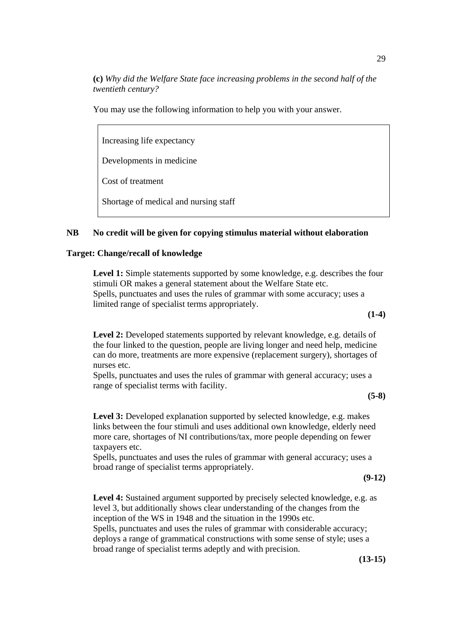**(c)** *Why did the Welfare State face increasing problems in the second half of the twentieth century?* 

You may use the following information to help you with your answer.

Increasing life expectancy

Developments in medicine

Cost of treatment

Shortage of medical and nursing staff

#### **NB No credit will be given for copying stimulus material without elaboration**

#### **Target: Change/recall of knowledge**

Level 1: Simple statements supported by some knowledge, e.g. describes the four stimuli OR makes a general statement about the Welfare State etc. Spells, punctuates and uses the rules of grammar with some accuracy; uses a limited range of specialist terms appropriately. **(1-4)** 

**Level 2:** Developed statements supported by relevant knowledge, e.g. details of the four linked to the question, people are living longer and need help, medicine can do more, treatments are more expensive (replacement surgery), shortages of nurses etc.

Spells, punctuates and uses the rules of grammar with general accuracy; uses a range of specialist terms with facility.

**(5-8)** 

Level 3: Developed explanation supported by selected knowledge, e.g. makes links between the four stimuli and uses additional own knowledge, elderly need more care, shortages of NI contributions/tax, more people depending on fewer taxpayers etc.

Spells, punctuates and uses the rules of grammar with general accuracy; uses a broad range of specialist terms appropriately.

**(9-12)** 

**Level 4:** Sustained argument supported by precisely selected knowledge, e.g. as level 3, but additionally shows clear understanding of the changes from the inception of the WS in 1948 and the situation in the 1990s etc. Spells, punctuates and uses the rules of grammar with considerable accuracy; deploys a range of grammatical constructions with some sense of style; uses a broad range of specialist terms adeptly and with precision.

29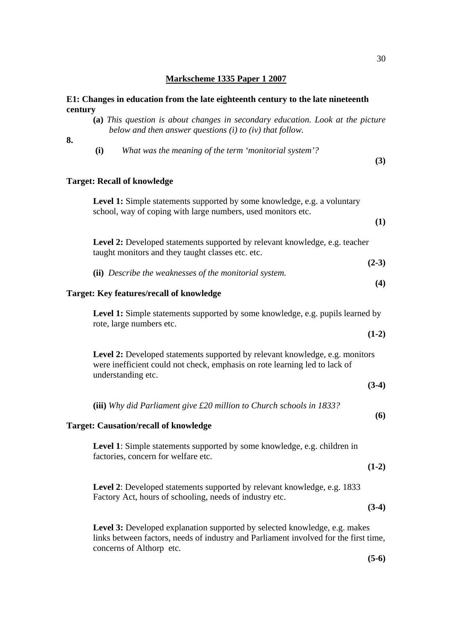**(3)** 

**(1)**

**(4)** 

#### **Markscheme 1335 Paper 1 2007**

#### **E1: Changes in education from the late eighteenth century to the late nineteenth century**

|  |  |  |                                                              | (a) This question is about changes in secondary education. Look at the picture |  |  |
|--|--|--|--------------------------------------------------------------|--------------------------------------------------------------------------------|--|--|
|  |  |  | below and then answer questions $(i)$ to $(iv)$ that follow. |                                                                                |  |  |

**8.**

**(i)** *What was the meaning of the term 'monitorial system'?* 

#### **Target: Recall of knowledge**

Level 1: Simple statements supported by some knowledge, e.g. a voluntary school, way of coping with large numbers, used monitors etc.

**Level 2:** Developed statements supported by relevant knowledge, e.g. teacher taught monitors and they taught classes etc. etc.  $(2-3)$ 

**(ii)** *Describe the weaknesses of the monitorial system.*

#### **Target: Key features/recall of knowledge**

Level 1: Simple statements supported by some knowledge, e.g. pupils learned by rote, large numbers etc.

 $(1-2)$ 

**Level 2:** Developed statements supported by relevant knowledge, e.g. monitors were inefficient could not check, emphasis on rote learning led to lack of understanding etc.

**(iii)** *Why did Parliament give £20 million to Church schools in 1833?*

**(6)** 

**(3-4)**

#### **Target: Causation/recall of knowledge**

**Level 1**: Simple statements supported by some knowledge, e.g. children in factories, concern for welfare etc.

 **(1-2)**

**Level 2**: Developed statements supported by relevant knowledge, e.g. 1833 Factory Act, hours of schooling, needs of industry etc.

 **(3-4)** 

Level 3: Developed explanation supported by selected knowledge, e.g. makes links between factors, needs of industry and Parliament involved for the first time, concerns of Althorp etc.

**(5-6)**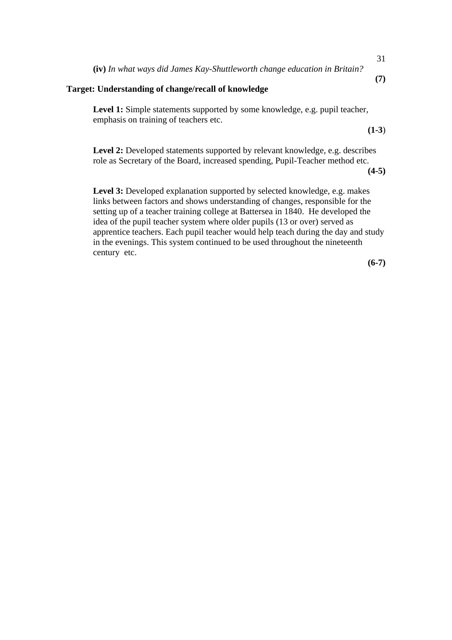**(iv)** *In what ways did James Kay-Shuttleworth change education in Britain?* **(7) Target: Understanding of change/recall of knowledge Level 1:** Simple statements supported by some knowledge, e.g. pupil teacher, emphasis on training of teachers etc.  **(1-3**) **Level 2:** Developed statements supported by relevant knowledge, e.g. describes role as Secretary of the Board, increased spending, Pupil-Teacher method etc. **(4-5)**  Level 3: Developed explanation supported by selected knowledge, e.g. makes links between factors and shows understanding of changes, responsible for the

setting up of a teacher training college at Battersea in 1840. He developed the idea of the pupil teacher system where older pupils (13 or over) served as apprentice teachers. Each pupil teacher would help teach during the day and study in the evenings. This system continued to be used throughout the nineteenth century etc.

**(6-7)**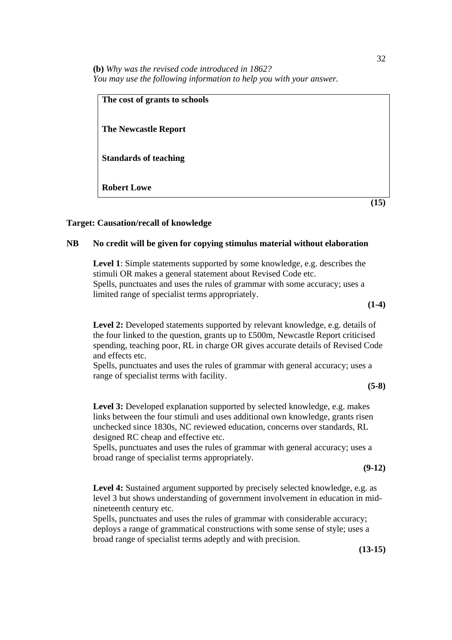**(b)** *Why was the revised code introduced in 1862? You may use the following information to help you with your answer.*

| The cost of grants to schools |
|-------------------------------|
| <b>The Newcastle Report</b>   |
| <b>Standards of teaching</b>  |
| <b>Robert Lowe</b>            |

**(15)** 

## **Target: Causation/recall of knowledge**

#### **NB No credit will be given for copying stimulus material without elaboration**

**Level 1**: Simple statements supported by some knowledge, e.g. describes the stimuli OR makes a general statement about Revised Code etc. Spells, punctuates and uses the rules of grammar with some accuracy; uses a limited range of specialist terms appropriately.

**(1-4)** 

**Level 2:** Developed statements supported by relevant knowledge, e.g. details of the four linked to the question, grants up to £500m, Newcastle Report criticised spending, teaching poor, RL in charge OR gives accurate details of Revised Code and effects etc.

Spells, punctuates and uses the rules of grammar with general accuracy; uses a range of specialist terms with facility.

**(5-8)** 

Level 3: Developed explanation supported by selected knowledge, e.g. makes links between the four stimuli and uses additional own knowledge, grants risen unchecked since 1830s, NC reviewed education, concerns over standards, RL designed RC cheap and effective etc.

Spells, punctuates and uses the rules of grammar with general accuracy; uses a broad range of specialist terms appropriately.

**(9-12)** 

Level 4: Sustained argument supported by precisely selected knowledge, e.g. as level 3 but shows understanding of government involvement in education in midnineteenth century etc.

Spells, punctuates and uses the rules of grammar with considerable accuracy; deploys a range of grammatical constructions with some sense of style; uses a broad range of specialist terms adeptly and with precision.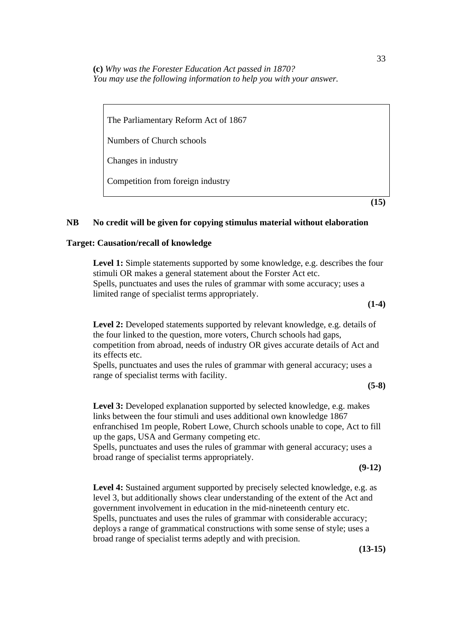**(c)** *Why was the Forester Education Act passed in 1870? You may use the following information to help you with your answer.* 

The Parliamentary Reform Act of 1867

Numbers of Church schools

Changes in industry

Competition from foreign industry

**(15)** 

#### **NB No credit will be given for copying stimulus material without elaboration**

#### **Target: Causation/recall of knowledge**

Level 1: Simple statements supported by some knowledge, e.g. describes the four stimuli OR makes a general statement about the Forster Act etc. Spells, punctuates and uses the rules of grammar with some accuracy; uses a limited range of specialist terms appropriately.

**(1-4)** 

**Level 2:** Developed statements supported by relevant knowledge, e.g. details of the four linked to the question, more voters, Church schools had gaps, competition from abroad, needs of industry OR gives accurate details of Act and its effects etc.

Spells, punctuates and uses the rules of grammar with general accuracy; uses a range of specialist terms with facility.

**(5-8)** 

Level 3: Developed explanation supported by selected knowledge, e.g. makes links between the four stimuli and uses additional own knowledge 1867 enfranchised 1m people, Robert Lowe, Church schools unable to cope, Act to fill up the gaps, USA and Germany competing etc.

Spells, punctuates and uses the rules of grammar with general accuracy; uses a broad range of specialist terms appropriately.

**(9-12)** 

**Level 4:** Sustained argument supported by precisely selected knowledge, e.g. as level 3, but additionally shows clear understanding of the extent of the Act and government involvement in education in the mid-nineteenth century etc. Spells, punctuates and uses the rules of grammar with considerable accuracy; deploys a range of grammatical constructions with some sense of style; uses a broad range of specialist terms adeptly and with precision.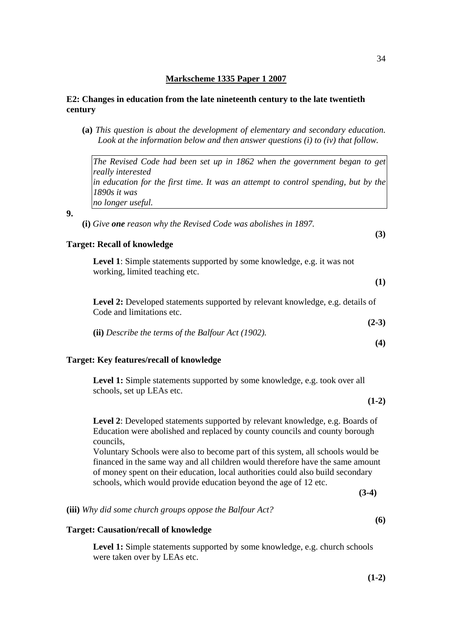#### **Markscheme 1335 Paper 1 2007**

## **E2: Changes in education from the late nineteenth century to the late twentieth century**

**(a)** *This question is about the development of elementary and secondary education. Look at the information below and then answer questions (i) to (iv) that follow.* 

*The Revised Code had been set up in 1862 when the government began to get really interested in education for the first time. It was an attempt to control spending, but by the 1890s it was no longer useful.* 

#### **9.**

**(i)** *Give one reason why the Revised Code was abolishes in 1897.*

#### **Target: Recall of knowledge**

**Level 1**: Simple statements supported by some knowledge, e.g. it was not working, limited teaching etc.

**Level 2:** Developed statements supported by relevant knowledge, e.g. details of Code and limitations etc.

 $(2-3)$ 

**(ii)** *Describe the terms of the Balfour Act (1902).*

#### **Target: Key features/recall of knowledge**

Level 1: Simple statements supported by some knowledge, e.g. took over all schools, set up LEAs etc.

 $(1-2)$ 

**Level 2**: Developed statements supported by relevant knowledge, e.g. Boards of Education were abolished and replaced by county councils and county borough councils,

Voluntary Schools were also to become part of this system, all schools would be financed in the same way and all children would therefore have the same amount of money spent on their education, local authorities could also build secondary schools, which would provide education beyond the age of 12 etc.

**(3-4)** 

**(iii)** *Why did some church groups oppose the Balfour Act?*

#### **Target: Causation/recall of knowledge**

Level 1: Simple statements supported by some knowledge, e.g. church schools were taken over by LEAs etc.

**(3)** 

**(1)**

**(4)** 

 **(1-2)**

**(6)**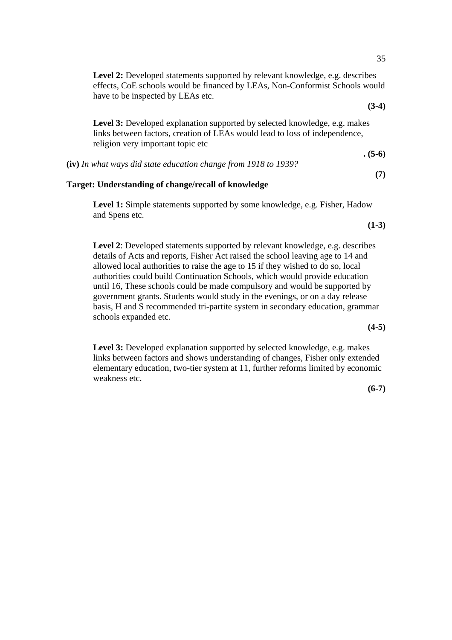**Level 2:** Developed statements supported by relevant knowledge, e.g. describes effects, CoE schools would be financed by LEAs, Non-Conformist Schools would have to be inspected by LEAs etc.

Level 3: Developed explanation supported by selected knowledge, e.g. makes links between factors, creation of LEAs would lead to loss of independence, religion very important topic etc

**(iv)** *In what ways did state education change from 1918 to 1939?*

#### **Target: Understanding of change/recall of knowledge**

**Level 1:** Simple statements supported by some knowledge, e.g. Fisher, Hadow and Spens etc.

**Level 2**: Developed statements supported by relevant knowledge, e.g. describes details of Acts and reports, Fisher Act raised the school leaving age to 14 and allowed local authorities to raise the age to 15 if they wished to do so, local authorities could build Continuation Schools, which would provide education until 16, These schools could be made compulsory and would be supported by government grants. Students would study in the evenings, or on a day release basis, H and S recommended tri-partite system in secondary education, grammar schools expanded etc.

Level 3: Developed explanation supported by selected knowledge, e.g. makes links between factors and shows understanding of changes, Fisher only extended elementary education, two-tier system at 11, further reforms limited by economic weakness etc.

**(6-7)** 

 **(3-4)** 

**(7)** 

 **(1-3)** 

**. (5-6)** 

**(4-5)**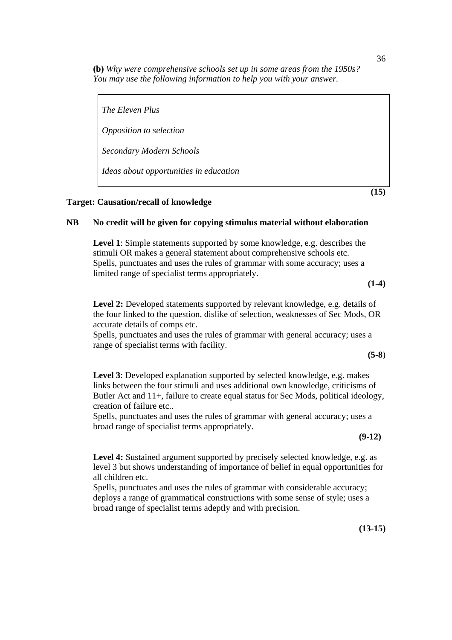**(b)** *Why were comprehensive schools set up in some areas from the 1950s? You may use the following information to help you with your answer.* 

*The Eleven Plus Opposition to selection Secondary Modern Schools Ideas about opportunities in education* 

#### **Target: Causation/recall of knowledge**

#### **NB No credit will be given for copying stimulus material without elaboration**

**Level 1**: Simple statements supported by some knowledge, e.g. describes the stimuli OR makes a general statement about comprehensive schools etc. Spells, punctuates and uses the rules of grammar with some accuracy; uses a limited range of specialist terms appropriately.

 **(1-4)** 

**(15)** 

**Level 2:** Developed statements supported by relevant knowledge, e.g. details of the four linked to the question, dislike of selection, weaknesses of Sec Mods, OR accurate details of comps etc.

Spells, punctuates and uses the rules of grammar with general accuracy; uses a range of specialist terms with facility.

 **(5-8**)

**Level 3**: Developed explanation supported by selected knowledge, e.g. makes links between the four stimuli and uses additional own knowledge, criticisms of Butler Act and 11+, failure to create equal status for Sec Mods, political ideology, creation of failure etc..

Spells, punctuates and uses the rules of grammar with general accuracy; uses a broad range of specialist terms appropriately.

**(9-12)** 

Level 4: Sustained argument supported by precisely selected knowledge, e.g. as level 3 but shows understanding of importance of belief in equal opportunities for all children etc.

Spells, punctuates and uses the rules of grammar with considerable accuracy; deploys a range of grammatical constructions with some sense of style; uses a broad range of specialist terms adeptly and with precision.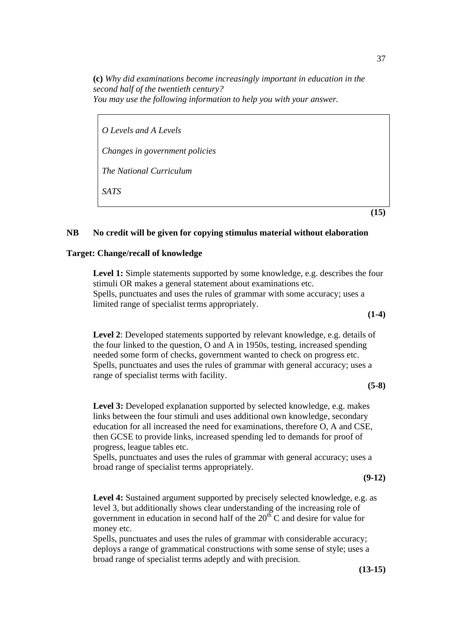**(c)** *Why did examinations become increasingly important in education in the second half of the twentieth century? You may use the following information to help you with your answer.* 

*O Levels and A Levels Changes in government policies The National Curriculum* 

*SATS* 

**(15)** 

#### **NB No credit will be given for copying stimulus material without elaboration**

#### **Target: Change/recall of knowledge**

Level 1: Simple statements supported by some knowledge, e.g. describes the four stimuli OR makes a general statement about examinations etc. Spells, punctuates and uses the rules of grammar with some accuracy; uses a limited range of specialist terms appropriately.

**(1-4)** 

**Level 2**: Developed statements supported by relevant knowledge, e.g. details of the four linked to the question, O and A in 1950s, testing, increased spending needed some form of checks, government wanted to check on progress etc. Spells, punctuates and uses the rules of grammar with general accuracy; uses a range of specialist terms with facility.

**(5-8)** 

**Level 3:** Developed explanation supported by selected knowledge, e.g. makes links between the four stimuli and uses additional own knowledge, secondary education for all increased the need for examinations, therefore O, A and CSE, then GCSE to provide links, increased spending led to demands for proof of progress, league tables etc.

Spells, punctuates and uses the rules of grammar with general accuracy; uses a broad range of specialist terms appropriately.

**(9-12)** 

**Level 4:** Sustained argument supported by precisely selected knowledge, e.g. as level 3, but additionally shows clear understanding of the increasing role of government in education in second half of the  $20<sup>th</sup>$  C and desire for value for money etc.

Spells, punctuates and uses the rules of grammar with considerable accuracy; deploys a range of grammatical constructions with some sense of style; uses a broad range of specialist terms adeptly and with precision.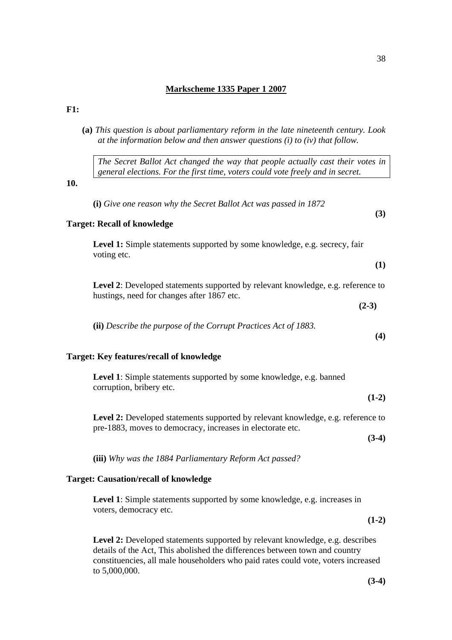**(a)** *This question is about parliamentary reform in the late nineteenth century. Look at the information below and then answer questions (i) to (iv) that follow.* 

**Markscheme 1335 Paper 1 2007**

*The Secret Ballot Act changed the way that people actually cast their votes in general elections. For the first time, voters could vote freely and in secret.* 

## **10.**

**F1:** 

**(i)** *Give one reason why the Secret Ballot Act was passed in 1872* 

#### **Target: Recall of knowledge**

Level 1: Simple statements supported by some knowledge, e.g. secrecy, fair voting etc. **(1)** 

**Level 2**: Developed statements supported by relevant knowledge, e.g. reference to hustings, need for changes after 1867 etc.

**(ii)** *Describe the purpose of the Corrupt Practices Act of 1883.*

## **Target: Key features/recall of knowledge**

**Level 1**: Simple statements supported by some knowledge, e.g. banned corruption, bribery etc.

 $(2-3)$ 

**Level 2:** Developed statements supported by relevant knowledge, e.g. reference to pre-1883, moves to democracy, increases in electorate etc.

**(3-4)** 

**(1-2)**

**(iii)** *Why was the 1884 Parliamentary Reform Act passed?*

## **Target: Causation/recall of knowledge**

**Level 1**: Simple statements supported by some knowledge, e.g. increases in voters, democracy etc.

**(1-2)**

Level 2: Developed statements supported by relevant knowledge, e.g. describes details of the Act, This abolished the differences between town and country constituencies, all male householders who paid rates could vote, voters increased to 5,000,000.

**(3-4)** 

**(3)** 

**(4)**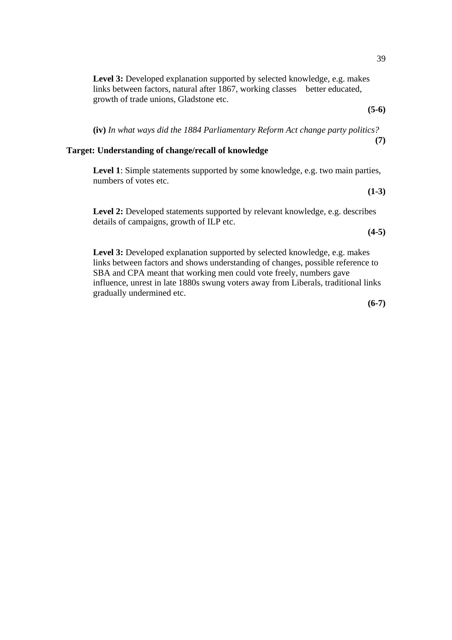**(5-6)**

**(7)** 

**Level 3:** Developed explanation supported by selected knowledge, e.g. makes links between factors, natural after 1867, working classes better educated, growth of trade unions, Gladstone etc.

**(iv)** *In what ways did the 1884 Parliamentary Reform Act change party politics?*

#### **Target: Understanding of change/recall of knowledge**

**Level 1**: Simple statements supported by some knowledge, e.g. two main parties, numbers of votes etc.

$$
(1-3)
$$

**Level 2:** Developed statements supported by relevant knowledge, e.g. describes details of campaigns, growth of ILP etc.

**(4-5)** 

Level 3: Developed explanation supported by selected knowledge, e.g. makes links between factors and shows understanding of changes, possible reference to SBA and CPA meant that working men could vote freely, numbers gave influence, unrest in late 1880s swung voters away from Liberals, traditional links gradually undermined etc.

**(6-7)**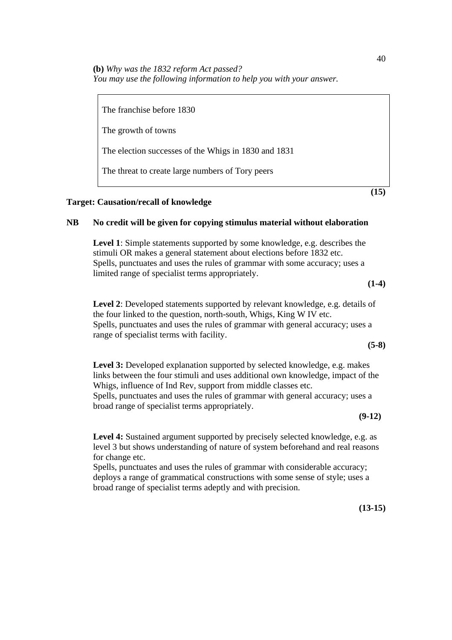**(b)** *Why was the 1832 reform Act passed? You may use the following information to help you with your answer.* 

The franchise before 1830

The growth of towns

The election successes of the Whigs in 1830 and 1831

The threat to create large numbers of Tory peers

**Target: Causation/recall of knowledge** 

#### **NB No credit will be given for copying stimulus material without elaboration**

**Level 1**: Simple statements supported by some knowledge, e.g. describes the stimuli OR makes a general statement about elections before 1832 etc. Spells, punctuates and uses the rules of grammar with some accuracy; uses a limited range of specialist terms appropriately.

**(1-4)** 

**(15)** 

**Level 2**: Developed statements supported by relevant knowledge, e.g. details of the four linked to the question, north-south, Whigs, King W IV etc. Spells, punctuates and uses the rules of grammar with general accuracy; uses a range of specialist terms with facility.

**(5-8)** 

Level 3: Developed explanation supported by selected knowledge, e.g. makes links between the four stimuli and uses additional own knowledge, impact of the Whigs, influence of Ind Rev, support from middle classes etc. Spells, punctuates and uses the rules of grammar with general accuracy; uses a

broad range of specialist terms appropriately. **(9-12)** 

**Level 4:** Sustained argument supported by precisely selected knowledge, e.g. as level 3 but shows understanding of nature of system beforehand and real reasons for change etc.

Spells, punctuates and uses the rules of grammar with considerable accuracy; deploys a range of grammatical constructions with some sense of style; uses a broad range of specialist terms adeptly and with precision.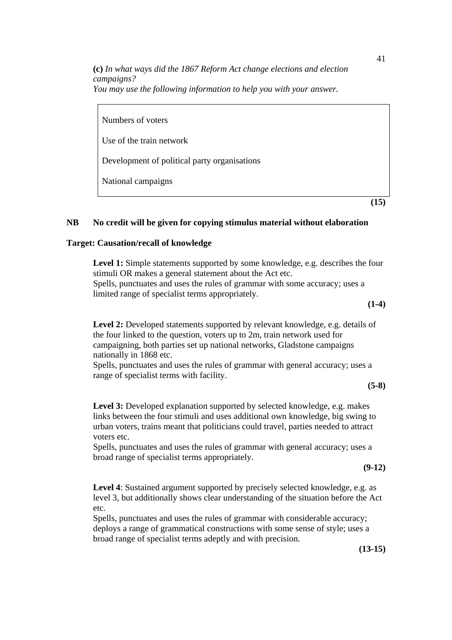**(c)** *In what ways did the 1867 Reform Act change elections and election campaigns? You may use the following information to help you with your answer.* 

Numbers of voters Use of the train network Development of political party organisations National campaigns

**(15)** 

#### **NB No credit will be given for copying stimulus material without elaboration**

#### **Target: Causation/recall of knowledge**

Level 1: Simple statements supported by some knowledge, e.g. describes the four stimuli OR makes a general statement about the Act etc. Spells, punctuates and uses the rules of grammar with some accuracy; uses a

limited range of specialist terms appropriately.

**(1-4)** 

**Level 2:** Developed statements supported by relevant knowledge, e.g. details of the four linked to the question, voters up to 2m, train network used for campaigning, both parties set up national networks, Gladstone campaigns nationally in 1868 etc.

Spells, punctuates and uses the rules of grammar with general accuracy; uses a range of specialist terms with facility.

**(5-8)** 

**Level 3:** Developed explanation supported by selected knowledge, e.g. makes links between the four stimuli and uses additional own knowledge, big swing to urban voters, trains meant that politicians could travel, parties needed to attract voters etc.

Spells, punctuates and uses the rules of grammar with general accuracy; uses a broad range of specialist terms appropriately.

**(9-12)** 

**Level 4**: Sustained argument supported by precisely selected knowledge, e.g. as level 3, but additionally shows clear understanding of the situation before the Act etc.

Spells, punctuates and uses the rules of grammar with considerable accuracy; deploys a range of grammatical constructions with some sense of style; uses a broad range of specialist terms adeptly and with precision.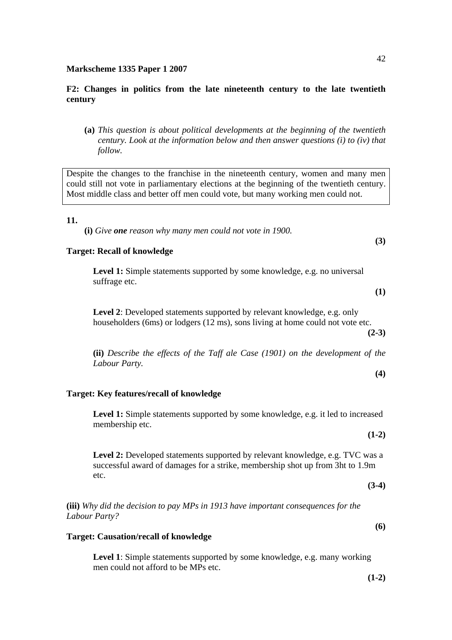#### **Markscheme 1335 Paper 1 2007**

#### **F2: Changes in politics from the late nineteenth century to the late twentieth century**

 **(a)** *This question is about political developments at the beginning of the twentieth century. Look at the information below and then answer questions (i) to (iv) that follow.*

Despite the changes to the franchise in the nineteenth century, women and many men could still not vote in parliamentary elections at the beginning of the twentieth century. Most middle class and better off men could vote, but many working men could not.

#### **11.**

 **(i)** *Give one reason why many men could not vote in 1900.*

#### **Target: Recall of knowledge**

Level 1: Simple statements supported by some knowledge, e.g. no universal suffrage etc.

**Level 2**: Developed statements supported by relevant knowledge, e.g. only householders (6ms) or lodgers (12 ms), sons living at home could not vote etc.  $(2-3)$ 

**(ii)** *Describe the effects of the Taff ale Case (1901) on the development of the Labour Party.*

**Target: Key features/recall of knowledge** 

Level 1: Simple statements supported by some knowledge, e.g. it led to increased membership etc.

 $(1-2)$ 

**Level 2:** Developed statements supported by relevant knowledge, e.g. TVC was a successful award of damages for a strike, membership shot up from 3ht to 1.9m etc.

**(3-4)**

**(6)** 

**(iii)** *Why did the decision to pay MPs in 1913 have important consequences for the Labour Party?* 

#### **Target: Causation/recall of knowledge**

**Level 1**: Simple statements supported by some knowledge, e.g. many working men could not afford to be MPs etc.

**(3)** 

**(1)** 

**(4)** 

 **(1-2)**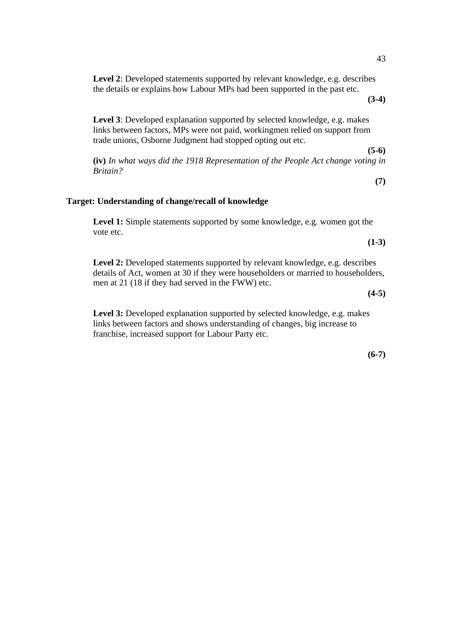**Level 2**: Developed statements supported by relevant knowledge, e.g. describes the details or explains how Labour MPs had been supported in the past etc.

 **(3-4)**

**(5-6)**

**Level 3**: Developed explanation supported by selected knowledge, e.g. makes links between factors, MPs were not paid, workingmen relied on support from trade unions, Osborne Judgment had stopped opting out etc.

**(iv)** *In what ways did the 1918 Representation of the People Act change voting in Britain?*

#### **Target: Understanding of change/recall of knowledge**

**Level 1:** Simple statements supported by some knowledge, e.g. women got the vote etc.

**Level 2:** Developed statements supported by relevant knowledge, e.g. describes details of Act, women at 30 if they were householders or married to householders, men at 21 (18 if they had served in the FWW) etc.

 **(4-5)** 

 **(1-3)** 

Level 3: Developed explanation supported by selected knowledge, e.g. makes links between factors and shows understanding of changes, big increase to franchise, increased support for Labour Party etc.

 **(6-7)**

## **(7)**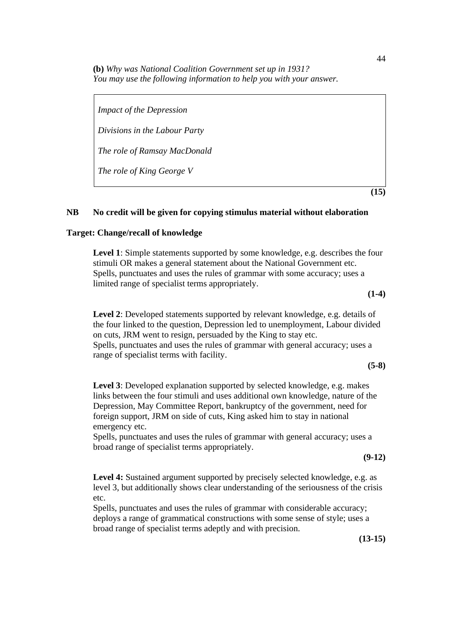**(b)** *Why was National Coalition Government set up in 1931? You may use the following information to help you with your answer.* 

*Impact of the Depression Divisions in the Labour Party The role of Ramsay MacDonald The role of King George V* 

**(15)** 

#### **NB No credit will be given for copying stimulus material without elaboration**

#### **Target: Change/recall of knowledge**

**Level 1**: Simple statements supported by some knowledge, e.g. describes the four stimuli OR makes a general statement about the National Government etc. Spells, punctuates and uses the rules of grammar with some accuracy; uses a limited range of specialist terms appropriately.

 $(1-4)$ 

**Level 2**: Developed statements supported by relevant knowledge, e.g. details of the four linked to the question, Depression led to unemployment, Labour divided on cuts, JRM went to resign, persuaded by the King to stay etc. Spells, punctuates and uses the rules of grammar with general accuracy; uses a range of specialist terms with facility.

 **(5-8)** 

**Level 3**: Developed explanation supported by selected knowledge, e.g. makes links between the four stimuli and uses additional own knowledge, nature of the Depression, May Committee Report, bankruptcy of the government, need for foreign support, JRM on side of cuts, King asked him to stay in national emergency etc.

Spells, punctuates and uses the rules of grammar with general accuracy; uses a broad range of specialist terms appropriately.

 **(9-12)** 

**Level 4:** Sustained argument supported by precisely selected knowledge, e.g. as level 3, but additionally shows clear understanding of the seriousness of the crisis etc.

Spells, punctuates and uses the rules of grammar with considerable accuracy; deploys a range of grammatical constructions with some sense of style; uses a broad range of specialist terms adeptly and with precision.